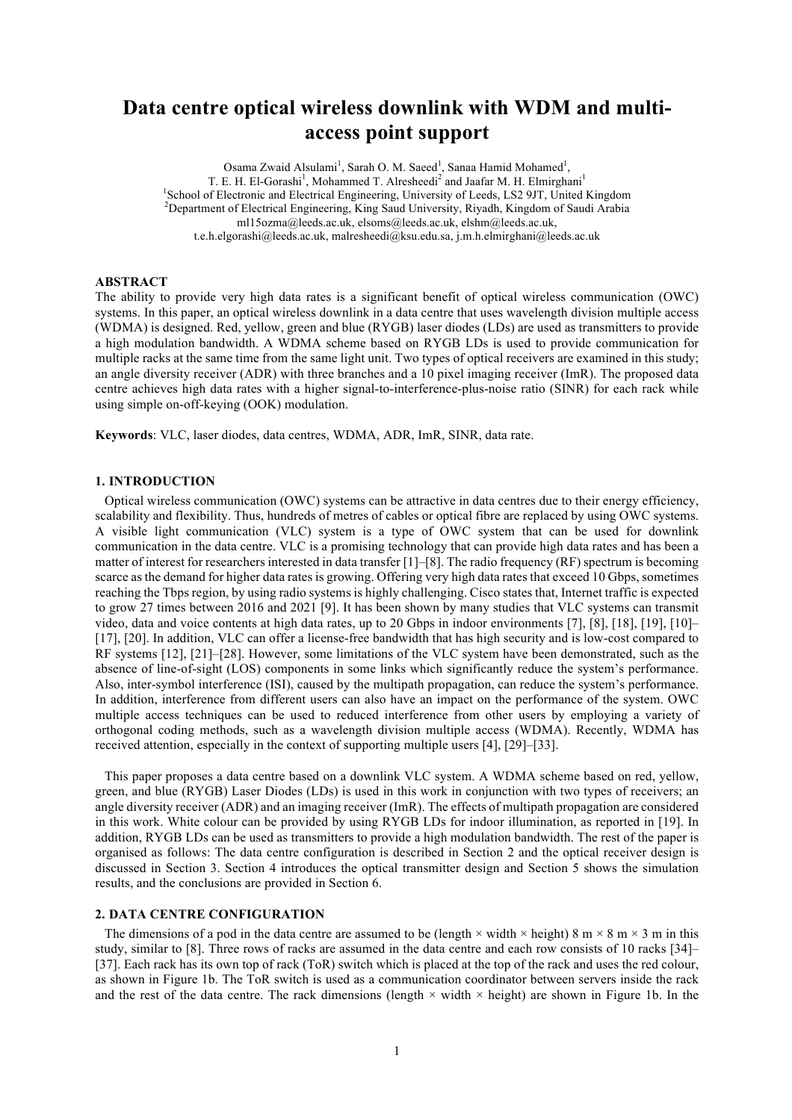# **Data centre optical wireless downlink with WDM and multiaccess point support**

Osama Zwaid Alsulami<sup>1</sup>, Sarah O. M. Saeed<sup>1</sup>, Sanaa Hamid Mohamed<sup>1</sup>, T. E. H. El-Gorashi<sup>1</sup>, Mohammed T. Alresheedi<sup>2</sup> and Jaafar M. H. Elmirghani<sup>1</sup> <sup>1</sup>School of Electronic and Electrical Engineering, University of Leeds, LS2 9JT, United Kingdom<br><sup>2</sup>Department of Electrical Engineering, *Ving Soud University, Biyedh, Vingdom of Soudi Arabia* Department of Electrical Engineering, King Saud University, Riyadh, Kingdom of Saudi Arabia ml15ozma@leeds.ac.uk, elsoms@leeds.ac.uk, elshm@leeds.ac.uk, t.e.h.elgorashi@leeds.ac.uk, malresheedi@ksu.edu.sa, j.m.h.elmirghani@leeds.ac.uk

### **ABSTRACT**

The ability to provide very high data rates is a significant benefit of optical wireless communication (OWC) systems. In this paper, an optical wireless downlink in a data centre that uses wavelength division multiple access (WDMA) is designed. Red, yellow, green and blue (RYGB) laser diodes (LDs) are used as transmitters to provide a high modulation bandwidth. A WDMA scheme based on RYGB LDs is used to provide communication for multiple racks at the same time from the same light unit. Two types of optical receivers are examined in this study; an angle diversity receiver (ADR) with three branches and a 10 pixel imaging receiver (ImR). The proposed data centre achieves high data rates with a higher signal-to-interference-plus-noise ratio (SINR) for each rack while using simple on-off-keying (OOK) modulation.

**Keywords**: VLC, laser diodes, data centres, WDMA, ADR, ImR, SINR, data rate.

#### **1. INTRODUCTION**

Optical wireless communication (OWC) systems can be attractive in data centres due to their energy efficiency, scalability and flexibility. Thus, hundreds of metres of cables or optical fibre are replaced by using OWC systems. A visible light communication (VLC) system is a type of OWC system that can be used for downlink communication in the data centre. VLC is a promising technology that can provide high data rates and has been a matter of interest for researchers interested in data transfer  $[1]-[8]$ . The radio frequency  $(RF)$  spectrum is becoming scarce as the demand for higher data rates is growing. Offering very high data rates that exceed 10 Gbps, sometimes reaching the Tbps region, by using radio systems is highly challenging. Cisco states that, Internet traffic is expected to grow 27 times between 2016 and 2021 [9]. It has been shown by many studies that VLC systems can transmit video, data and voice contents at high data rates, up to 20 Gbps in indoor environments [7], [8], [18], [19], [10]– [17], [20]. In addition, VLC can offer a license-free bandwidth that has high security and is low-cost compared to RF systems [12], [21]–[28]. However, some limitations of the VLC system have been demonstrated, such as the absence of line-of-sight (LOS) components in some links which significantly reduce the system's performance. Also, inter-symbol interference (ISI), caused by the multipath propagation, can reduce the system's performance. In addition, interference from different users can also have an impact on the performance of the system. OWC multiple access techniques can be used to reduced interference from other users by employing a variety of orthogonal coding methods, such as a wavelength division multiple access (WDMA). Recently, WDMA has received attention, especially in the context of supporting multiple users [4], [29]–[33].

This paper proposes a data centre based on a downlink VLC system. A WDMA scheme based on red, yellow, green, and blue (RYGB) Laser Diodes (LDs) is used in this work in conjunction with two types of receivers; an angle diversity receiver (ADR) and an imaging receiver (ImR). The effects of multipath propagation are considered in this work. White colour can be provided by using RYGB LDs for indoor illumination, as reported in [19]. In addition, RYGB LDs can be used as transmitters to provide a high modulation bandwidth. The rest of the paper is organised as follows: The data centre configuration is described in Section 2 and the optical receiver design is discussed in Section 3. Section 4 introduces the optical transmitter design and Section 5 shows the simulation results, and the conclusions are provided in Section 6.

#### **2. DATA CENTRE CONFIGURATION**

The dimensions of a pod in the data centre are assumed to be (length  $\times$  width  $\times$  height) 8 m  $\times$  8 m  $\times$  3 m in this study, similar to [8]. Three rows of racks are assumed in the data centre and each row consists of 10 racks [34]– [37]. Each rack has its own top of rack (ToR) switch which is placed at the top of the rack and uses the red colour, as shown in Figure 1b. The ToR switch is used as a communication coordinator between servers inside the rack and the rest of the data centre. The rack dimensions (length  $\times$  width  $\times$  height) are shown in Figure 1b. In the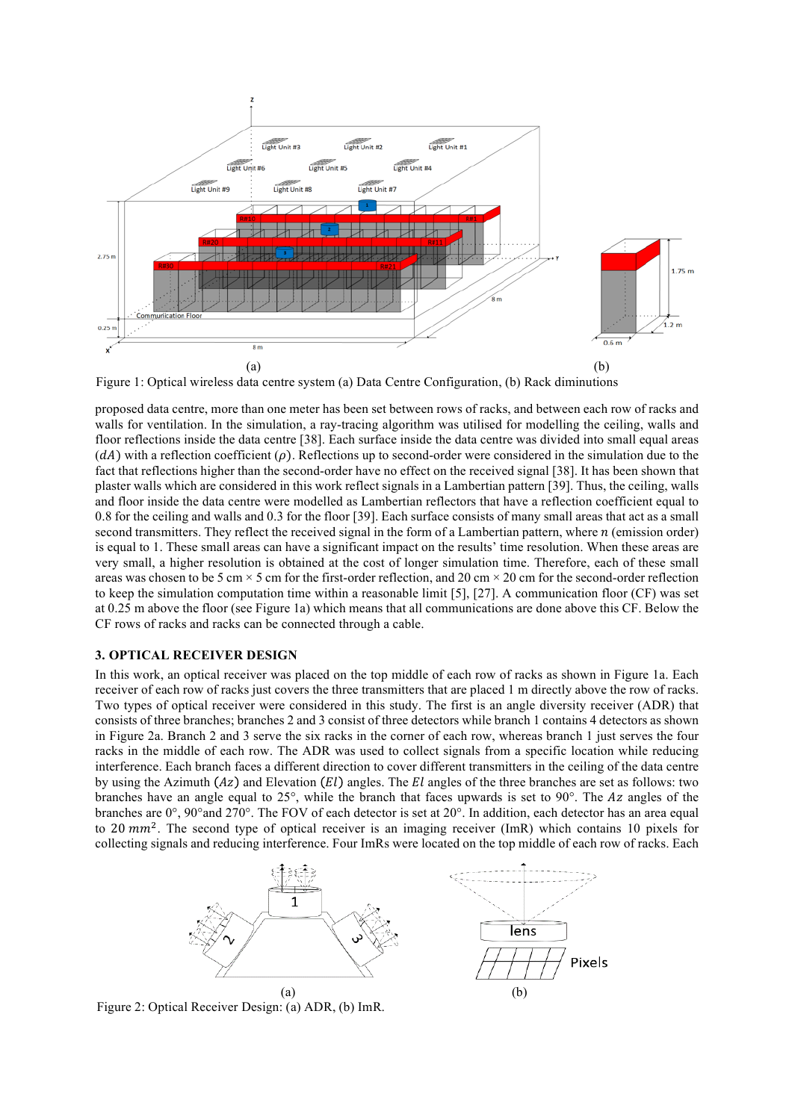

Figure 1: Optical wireless data centre system (a) Data Centre Configuration, (b) Rack diminutions

proposed data centre, more than one meter has been set between rows of racks, and between each row of racks and walls for ventilation. In the simulation, a ray-tracing algorithm was utilised for modelling the ceiling, walls and floor reflections inside the data centre [38]. Each surface inside the data centre was divided into small equal areas  $(dA)$  with a reflection coefficient ( $\rho$ ). Reflections up to second-order were considered in the simulation due to the fact that reflections higher than the second-order have no effect on the received signal [38]. It has been shown that plaster walls which are considered in this work reflect signals in a Lambertian pattern [39]. Thus, the ceiling, walls and floor inside the data centre were modelled as Lambertian reflectors that have a reflection coefficient equal to 0.8 for the ceiling and walls and 0.3 for the floor [39]. Each surface consists of many small areas that act as a small second transmitters. They reflect the received signal in the form of a Lambertian pattern, where  $n$  (emission order) is equal to 1. These small areas can have a significant impact on the results' time resolution. When these areas are very small, a higher resolution is obtained at the cost of longer simulation time. Therefore, each of these small areas was chosen to be 5 cm  $\times$  5 cm for the first-order reflection, and 20 cm  $\times$  20 cm for the second-order reflection to keep the simulation computation time within a reasonable limit [5], [27]. A communication floor (CF) was set at 0.25 m above the floor (see Figure 1a) which means that all communications are done above this CF. Below the CF rows of racks and racks can be connected through a cable.

## **3. OPTICAL RECEIVER DESIGN**

In this work, an optical receiver was placed on the top middle of each row of racks as shown in Figure 1a. Each receiver of each row of racks just covers the three transmitters that are placed 1 m directly above the row of racks. Two types of optical receiver were considered in this study. The first is an angle diversity receiver (ADR) that consists of three branches; branches 2 and 3 consist of three detectors while branch 1 contains 4 detectors as shown in Figure 2a. Branch 2 and 3 serve the six racks in the corner of each row, whereas branch 1 just serves the four racks in the middle of each row. The ADR was used to collect signals from a specific location while reducing interference. Each branch faces a different direction to cover different transmitters in the ceiling of the data centre by using the Azimuth  $(Az)$  and Elevation  $(El)$  angles. The  $El$  angles of the three branches are set as follows: two branches have an angle equal to  $25^{\circ}$ , while the branch that faces upwards is set to  $90^{\circ}$ . The Az angles of the branches are 0°, 90°and 270°. The FOV of each detector is set at 20°. In addition, each detector has an area equal to 20  $mm^2$ . The second type of optical receiver is an imaging receiver (ImR) which contains 10 pixels for collecting signals and reducing interference. Four ImRs were located on the top middle of each row of racks. Each



Figure 2: Optical Receiver Design: (a) ADR, (b) ImR.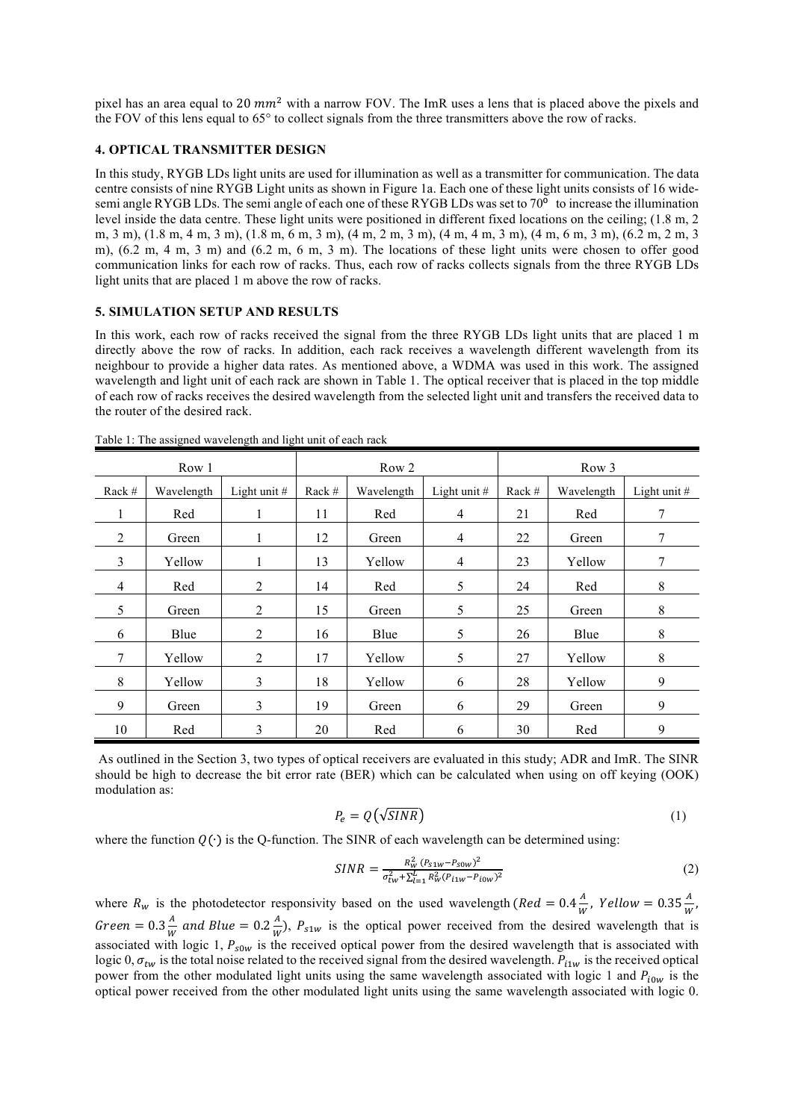pixel has an area equal to 20  $mm^2$  with a narrow FOV. The ImR uses a lens that is placed above the pixels and the FOV of this lens equal to 65° to collect signals from the three transmitters above the row of racks.

## **4. OPTICAL TRANSMITTER DESIGN**

In this study, RYGB LDs light units are used for illumination as well as a transmitter for communication. The data centre consists of nine RYGB Light units as shown in Figure 1a. Each one of these light units consists of 16 widesemi angle RYGB LDs. The semi angle of each one of these RYGB LDs was set to  $70^{\circ}$  to increase the illumination level inside the data centre. These light units were positioned in different fixed locations on the ceiling; (1.8 m, 2 m, 3 m), (1.8 m, 4 m, 3 m), (1.8 m, 6 m, 3 m), (4 m, 2 m, 3 m), (4 m, 4 m, 3 m), (4 m, 6 m, 3 m), (6.2 m, 2 m, 3 m), (6.2 m, 4 m, 3 m) and (6.2 m, 6 m, 3 m). The locations of these light units were chosen to offer good communication links for each row of racks. Thus, each row of racks collects signals from the three RYGB LDs light units that are placed 1 m above the row of racks.

## **5. SIMULATION SETUP AND RESULTS**

In this work, each row of racks received the signal from the three RYGB LDs light units that are placed 1 m directly above the row of racks. In addition, each rack receives a wavelength different wavelength from its neighbour to provide a higher data rates. As mentioned above, a WDMA was used in this work. The assigned wavelength and light unit of each rack are shown in Table 1. The optical receiver that is placed in the top middle of each row of racks receives the desired wavelength from the selected light unit and transfers the received data to the router of the desired rack.

|                | Row 1      |                | Row <sub>2</sub> |            |                | Row 3  |            |              |
|----------------|------------|----------------|------------------|------------|----------------|--------|------------|--------------|
| Rack #         | Wavelength | Light unit $#$ | Rack $#$         | Wavelength | Light unit $#$ | Rack # | Wavelength | Light unit # |
|                | Red        |                | 11               | Red        | $\overline{4}$ | 21     | Red        | 7            |
| 2              | Green      | 1              | 12               | Green      | 4              | 22     | Green      | 7            |
| 3              | Yellow     | 1              | 13               | Yellow     | $\overline{4}$ | 23     | Yellow     | 7            |
| $\overline{4}$ | Red        | 2              | 14               | Red        | 5              | 24     | Red        | 8            |
| 5              | Green      | $\overline{2}$ | 15               | Green      | 5              | 25     | Green      | $\,8\,$      |
| 6              | Blue       | 2              | 16               | Blue       | 5              | 26     | Blue       | $\,8\,$      |
| 7              | Yellow     | 2              | 17               | Yellow     | 5              | 27     | Yellow     | 8            |
| 8              | Yellow     | 3              | 18               | Yellow     | 6              | 28     | Yellow     | 9            |
| 9              | Green      | 3              | 19               | Green      | 6              | 29     | Green      | 9            |
| 10             | Red        | 3              | 20               | Red        | 6              | 30     | Red        | 9            |

Table 1: The assigned wavelength and light unit of each rack

As outlined in the Section 3, two types of optical receivers are evaluated in this study; ADR and ImR. The SINR should be high to decrease the bit error rate (BER) which can be calculated when using on off keying (OOK) modulation as:

$$
P_e = Q(\sqrt{SINR})\tag{1}
$$

where the function  $Q(\cdot)$  is the Q-function. The SINR of each wavelength can be determined using:

$$
SINR = \frac{R_W^2 (P_{s1w} - P_{s0w})^2}{\sigma_{tw}^2 + \sum_{l=1}^L R_W^2 (P_{i1w} - P_{i0w})^2}
$$
(2)

where  $R_w$  is the photodetector responsivity based on the used wavelength ( $Red = 0.4 \frac{A}{W}$ , Yellow = 0.35 $\frac{A}{W}$ , Green = 0.3  $\frac{A}{W}$  and Blue = 0.2  $\frac{A}{W}$ ),  $P_{s1w}$  is the optical power received from the desired wavelength that is associated with logic 1,  $P_{s0w}$  is the received optical power from the desired wavelength that is associated with logic 0,  $\sigma_{tw}$  is the total noise related to the received signal from the desired wavelength.  $P_{i1w}$  is the received optical power from the other modulated light units using the same wavelength associated with logic 1 and  $P_{i0w}$  is the optical power received from the other modulated light units using the same wavelength associated with logic 0.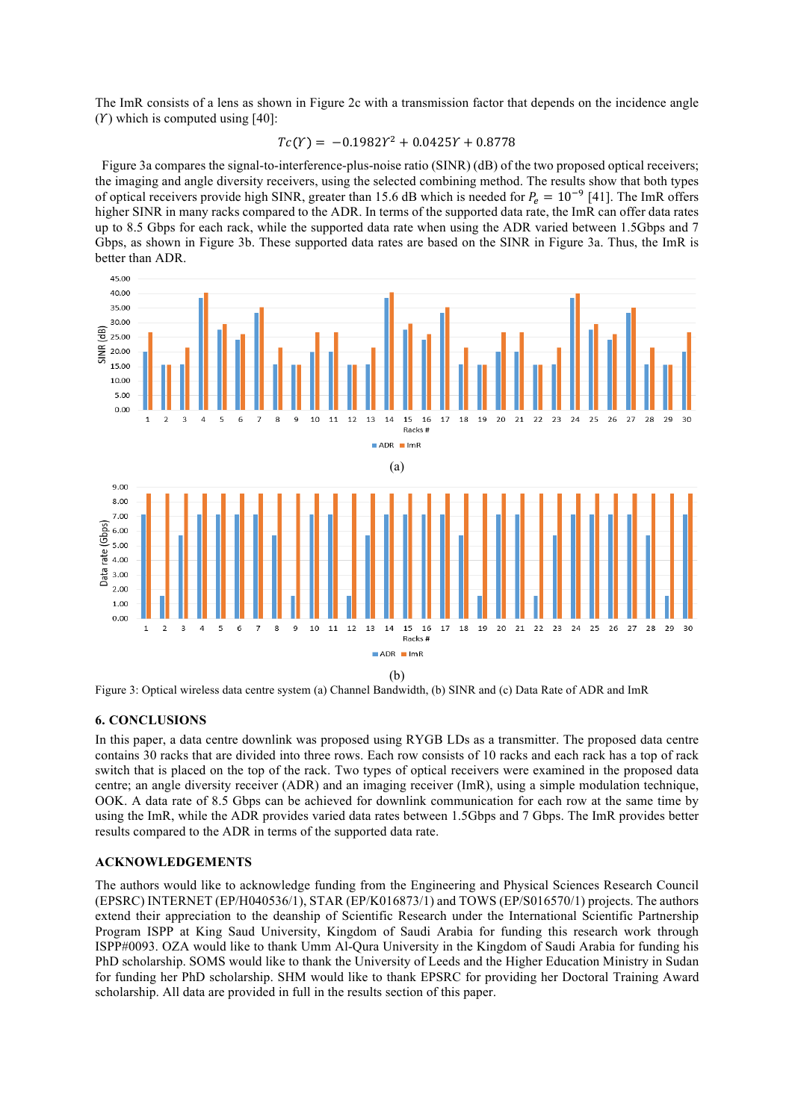The ImR consists of a lens as shown in Figure 2c with a transmission factor that depends on the incidence angle  $(Y)$  which is computed using [40]:

$$
Tc(Y) = -0.1982Y^2 + 0.0425Y + 0.8778
$$

 Figure 3a compares the signal-to-interference-plus-noise ratio (SINR) (dB) of the two proposed optical receivers; the imaging and angle diversity receivers, using the selected combining method. The results show that both types of optical receivers provide high SINR, greater than 15.6 dB which is needed for  $P_e = 10^{-9}$  [41]. The ImR offers higher SINR in many racks compared to the ADR. In terms of the supported data rate, the ImR can offer data rates up to 8.5 Gbps for each rack, while the supported data rate when using the ADR varied between 1.5Gbps and 7 Gbps, as shown in Figure 3b. These supported data rates are based on the SINR in Figure 3a. Thus, the ImR is better than ADR.



Figure 3: Optical wireless data centre system (a) Channel Bandwidth, (b) SINR and (c) Data Rate of ADR and ImR

# **6. CONCLUSIONS**

In this paper, a data centre downlink was proposed using RYGB LDs as a transmitter. The proposed data centre contains 30 racks that are divided into three rows. Each row consists of 10 racks and each rack has a top of rack switch that is placed on the top of the rack. Two types of optical receivers were examined in the proposed data centre; an angle diversity receiver (ADR) and an imaging receiver (ImR), using a simple modulation technique, OOK. A data rate of 8.5 Gbps can be achieved for downlink communication for each row at the same time by using the ImR, while the ADR provides varied data rates between 1.5Gbps and 7 Gbps. The ImR provides better results compared to the ADR in terms of the supported data rate.

# **ACKNOWLEDGEMENTS**

The authors would like to acknowledge funding from the Engineering and Physical Sciences Research Council (EPSRC) INTERNET (EP/H040536/1), STAR (EP/K016873/1) and TOWS (EP/S016570/1) projects. The authors extend their appreciation to the deanship of Scientific Research under the International Scientific Partnership Program ISPP at King Saud University, Kingdom of Saudi Arabia for funding this research work through ISPP#0093. OZA would like to thank Umm Al-Qura University in the Kingdom of Saudi Arabia for funding his PhD scholarship. SOMS would like to thank the University of Leeds and the Higher Education Ministry in Sudan for funding her PhD scholarship. SHM would like to thank EPSRC for providing her Doctoral Training Award scholarship. All data are provided in full in the results section of this paper.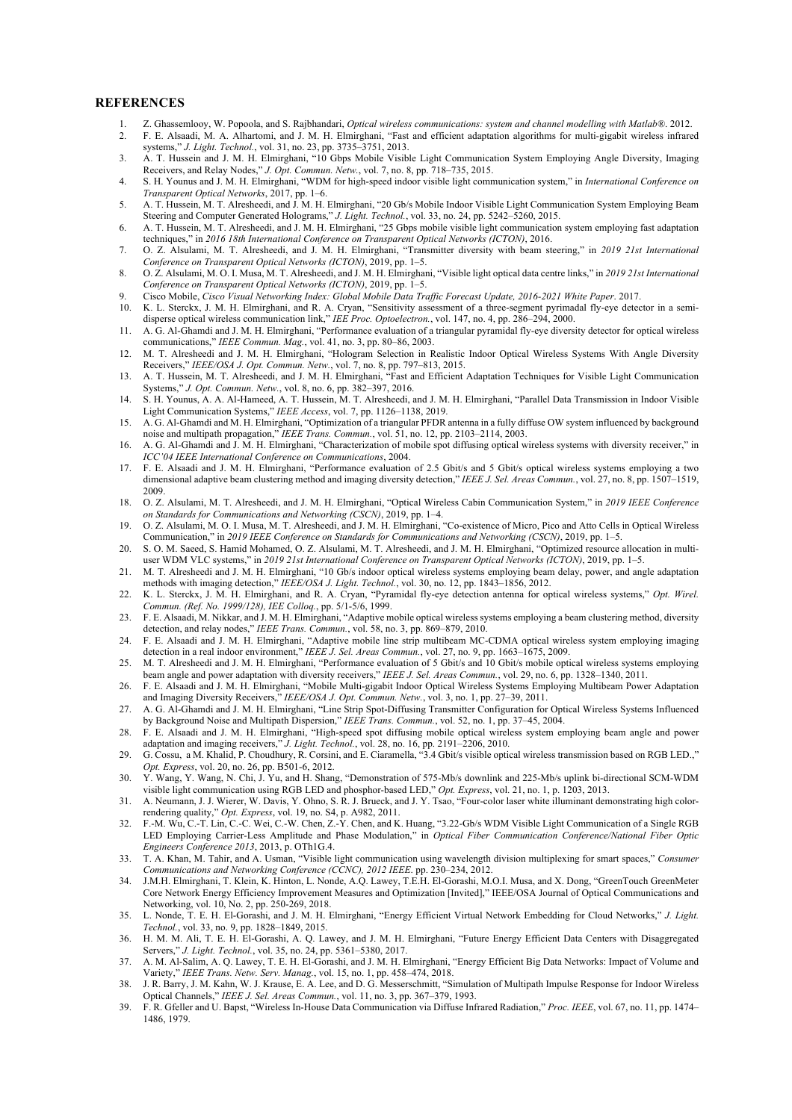#### **REFERENCES**

- 1. Z. Ghassemlooy, W. Popoola, and S. Rajbhandari, *Optical wireless communications: system and channel modelling with Matlab®*. 2012. 2. F. E. Alsaadi, M. A. Alhartomi, and J. M. H. Elmirghani, "Fast and efficient adaptation algorithms for multi-gigabit wireless infrared
- systems," *J. Light. Technol.*, vol. 31, no. 23, pp. 3735–3751, 2013. 3. A. T. Hussein and J. M. H. Elmirghani, "10 Gbps Mobile Visible Light Communication System Employing Angle Diversity, Imaging
- Receivers, and Relay Nodes," *J. Opt. Commun. Netw.*, vol. 7, no. 8, pp. 718–735, 2015. 4. S. H. Younus and J. M. H. Elmirghani, "WDM for high-speed indoor visible light communication system," in *International Conference on*
- *Transparent Optical Networks*, 2017, pp. 1–6. 5. A. T. Hussein, M. T. Alresheedi, and J. M. H. Elmirghani, "20 Gb/s Mobile Indoor Visible Light Communication System Employing Beam
- Steering and Computer Generated Holograms," *J. Light. Technol.*, vol. 33, no. 24, pp. 5242–5260, 2015. 6. A. T. Hussein, M. T. Alresheedi, and J. M. H. Elmirghani, "25 Gbps mobile visible light communication system employing fast adaptation techniques," in *2016 18th International Conference on Transparent Optical Networks (ICTON)*, 2016.
- 7. O. Z. Alsulami, M. T. Alresheedi, and J. M. H. Elmirghani, "Transmitter diversity with beam steering," in *2019 21st International Conference on Transparent Optical Networks (ICTON)*, 2019, pp. 1–5.
- 8. O. Z. Alsulami, M. O. I. Musa, M. T. Alresheedi, and J. M. H. Elmirghani, "Visible light optical data centre links," in *2019 21st International Conference on Transparent Optical Networks (ICTON)*, 2019, pp. 1–5.
- 9. Cisco Mobile, *Cisco Visual Networking Index: Global Mobile Data Traffic Forecast Update, 2016-2021 White Paper*. 2017.
- 10. K. L. Sterckx, J. M. H. Elmirghani, and R. A. Cryan, "Sensitivity assessment of a three-segment pyrimadal fly-eye detector in a semidisperse optical wireless communication link," *IEE Proc. Optoelectron.*, vol. 147, no. 4, pp. 286–294, 2000.
- 11. A. G. Al-Ghamdi and J. M. H. Elmirghani, "Performance evaluation of a triangular pyramidal fly-eye diversity detector for optical wireless communications," *IEEE Commun. Mag.*, vol. 41, no. 3, pp. 80–86, 2003.
- 12. M. T. Alresheedi and J. M. H. Elmirghani, "Hologram Selection in Realistic Indoor Optical Wireless Systems With Angle Diversity Receivers," *IEEE/OSA J. Opt. Commun. Netw.*, vol. 7, no. 8, pp. 797–813, 2015.
- 13. A. T. Hussein, M. T. Alresheedi, and J. M. H. Elmirghani, "Fast and Efficient Adaptation Techniques for Visible Light Communication Systems," *J. Opt. Commun. Netw.*, vol. 8, no. 6, pp. 382–397, 2016.
- 14. S. H. Younus, A. A. Al-Hameed, A. T. Hussein, M. T. Alresheedi, and J. M. H. Elmirghani, "Parallel Data Transmission in Indoor Visible Light Communication Systems," *IEEE Access*, vol. 7, pp. 1126–1138, 2019.
- 15. A. G. Al-Ghamdi and M. H. Elmirghani, "Optimization of a triangular PFDR antenna in a fully diffuse OW system influenced by background noise and multipath propagation," *IEEE Trans. Commun.*, vol. 51, no. 12, pp. 2103–2114, 2003.
- 16. A. G. Al-Ghamdi and J. M. H. Elmirghani, "Characterization of mobile spot diffusing optical wireless systems with diversity receiver," in *ICC'04 IEEE International Conference on Communications*, 2004.
- 17. F. E. Alsaadi and J. M. H. Elmirghani, "Performance evaluation of 2.5 Gbit/s and 5 Gbit/s optical wireless systems employing a two dimensional adaptive beam clustering method and imaging diversity detection," *IEEE J. Sel. Areas Commun.*, vol. 27, no. 8, pp. 1507–1519, 2009.
- 18. O. Z. Alsulami, M. T. Alresheedi, and J. M. H. Elmirghani, "Optical Wireless Cabin Communication System," in *2019 IEEE Conference on Standards for Communications and Networking (CSCN)*, 2019, pp. 1–4.
- 19. O. Z. Alsulami, M. O. I. Musa, M. T. Alresheedi, and J. M. H. Elmirghani, "Co-existence of Micro, Pico and Atto Cells in Optical Wireless Communication," in *2019 IEEE Conference on Standards for Communications and Networking (CSCN)*, 2019, pp. 1–5.
- 20. S. O. M. Saeed, S. Hamid Mohamed, O. Z. Alsulami, M. T. Alresheedi, and J. M. H. Elmirghani, "Optimized resource allocation in multiuser WDM VLC systems," in *2019 21st International Conference on Transparent Optical Networks (ICTON)*, 2019, pp. 1–5.
- 21. M. T. Alresheedi and J. M. H. Elmirghani, "10 Gb/s indoor optical wireless systems employing beam delay, power, and angle adaptation methods with imaging detection," *IEEE/OSA J. Light. Technol.*, vol. 30, no. 12, pp. 1843–1856, 2012.
- 22. K. L. Sterckx, J. M. H. Elmirghani, and R. A. Cryan, "Pyramidal fly-eye detection antenna for optical wireless systems," *Opt. Wirel. Commun. (Ref. No. 1999/128), IEE Colloq.*, pp. 5/1-5/6, 1999.
- 23. F. E. Alsaadi, M. Nikkar, and J. M. H. Elmirghani, "Adaptive mobile optical wireless systems employing a beam clustering method, diversity detection, and relay nodes," *IEEE Trans. Commun.*, vol. 58, no. 3, pp. 869–879, 2010.
- 24. F. E. Alsaadi and J. M. H. Elmirghani, "Adaptive mobile line strip multibeam MC-CDMA optical wireless system employing imaging detection in a real indoor environment," *IEEE J. Sel. Areas Commun.*, vol. 27, no. 9, pp. 1663-1675, 2009.
- 25. M. T. Alresheedi and J. M. H. Elmirghani, "Performance evaluation of 5 Gbit/s and 10 Gbit/s mobile optical wireless systems employing beam angle and power adaptation with diversity receivers," *IEEE J. Sel. Areas Commun.*, vol. 29, no. 6, pp. 1328–1340, 2011.
- 26. F. E. Alsaadi and J. M. H. Elmirghani, "Mobile Multi-gigabit Indoor Optical Wireless Systems Employing Multibeam Power Adaptation and Imaging Diversity Receivers," *IEEE/OSA J. Opt. Commun. Netw.*, vol. 3, no. 1, pp. 27-39, 2011.
- 27. A. G. Al-Ghamdi and J. M. H. Elmirghani, "Line Strip Spot-Diffusing Transmitter Configuration for Optical Wireless Systems Influenced by Background Noise and Multipath Dispersion," *IEEE Trans. Commun.*, vol. 52, no. 1, pp. 37–45, 2004.
- 28. F. E. Alsaadi and J. M. H. Elmirghani, "High-speed spot diffusing mobile optical wireless system employing beam angle and power adaptation and imaging receivers," *J. Light. Technol.*, vol. 28, no. 16, pp. 2191–2206, 2010.
- 29. G. Cossu, a M. Khalid, P. Choudhury, R. Corsini, and E. Ciaramella, "3.4 Gbit/s visible optical wireless transmission based on RGB LED.," *Opt. Express*, vol. 20, no. 26, pp. B501-6, 2012.
- 30. Y. Wang, Y. Wang, N. Chi, J. Yu, and H. Shang, "Demonstration of 575-Mb/s downlink and 225-Mb/s uplink bi-directional SCM-WDM visible light communication using RGB LED and phosphor-based LED," *Opt. Express*, vol. 21, no. 1, p. 1203, 2013.
- 31. A. Neumann, J. J. Wierer, W. Davis, Y. Ohno, S. R. J. Brueck, and J. Y. Tsao, "Four-color laser white illuminant demonstrating high colorrendering quality," *Opt. Express*, vol. 19, no. S4, p. A982, 2011.
- 32. F.-M. Wu, C.-T. Lin, C.-C. Wei, C.-W. Chen, Z.-Y. Chen, and K. Huang, "3.22-Gb/s WDM Visible Light Communication of a Single RGB LED Employing Carrier-Less Amplitude and Phase Modulation," in *Optical Fiber Communication Conference/National Fiber Optic Engineers Conference 2013*, 2013, p. OTh1G.4.
- 33. T. A. Khan, M. Tahir, and A. Usman, "Visible light communication using wavelength division multiplexing for smart spaces," *Consumer Communications and Networking Conference (CCNC), 2012 IEEE*. pp. 230–234, 2012.
- 34. J.M.H. Elmirghani, T. Klein, K. Hinton, L. Nonde, A.Q. Lawey, T.E.H. El-Gorashi, M.O.I. Musa, and X. Dong, "GreenTouch GreenMeter Core Network Energy Efficiency Improvement Measures and Optimization [Invited]," IEEE/OSA Journal of Optical Communications and Networking, vol. 10, No. 2, pp. 250-269, 2018.
- 35. L. Nonde, T. E. H. El-Gorashi, and J. M. H. Elmirghani, "Energy Efficient Virtual Network Embedding for Cloud Networks," *J. Light. Technol.*, vol. 33, no. 9, pp. 1828–1849, 2015.
- 36. H. M. M. Ali, T. E. H. El-Gorashi, A. Q. Lawey, and J. M. H. Elmirghani, "Future Energy Efficient Data Centers with Disaggregated Servers," *J. Light. Technol.*, vol. 35, no. 24, pp. 5361–5380, 2017.
- 37. A. M. Al-Salim, A. Q. Lawey, T. E. H. El-Gorashi, and J. M. H. Elmirghani, "Energy Efficient Big Data Networks: Impact of Volume and Variety," *IEEE Trans. Netw. Serv. Manag.*, vol. 15, no. 1, pp. 458–474, 2018.
- 38. J. R. Barry, J. M. Kahn, W. J. Krause, E. A. Lee, and D. G. Messerschmitt, "Simulation of Multipath Impulse Response for Indoor Wireless Optical Channels," *IEEE J. Sel. Areas Commun.*, vol. 11, no. 3, pp. 367–379, 1993.
- 39. F. R. Gfeller and U. Bapst, "Wireless In-House Data Communication via Diffuse Infrared Radiation," *Proc. IEEE*, vol. 67, no. 11, pp. 1474– 1486, 1979.